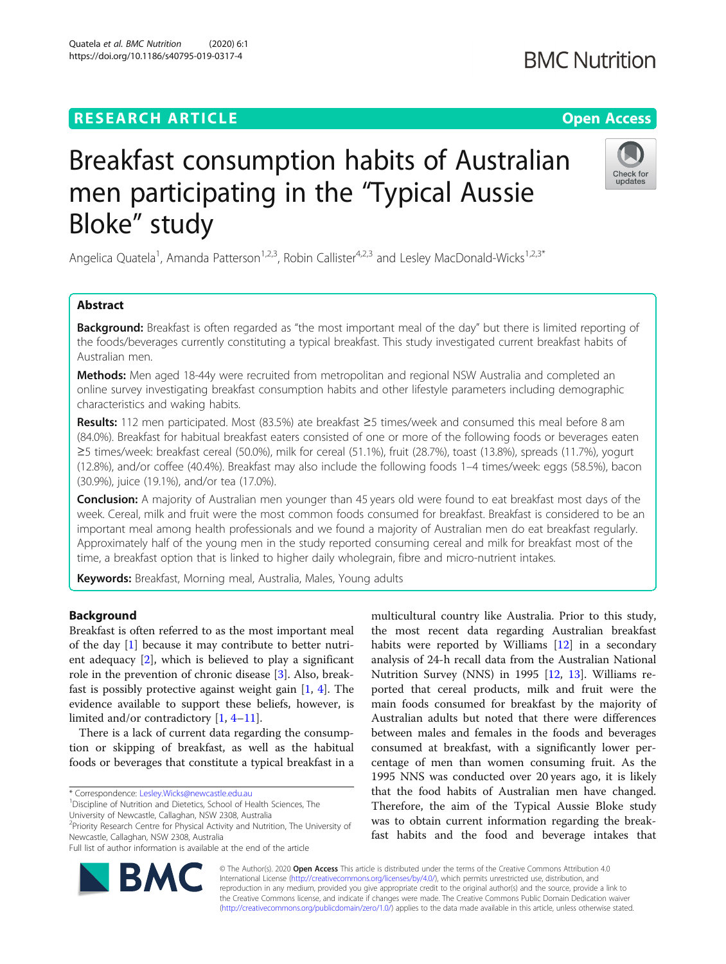# **RESEARCH ARTICLE Example 2014 CONSIDERING A RESEARCH ARTICLE**

# Breakfast consumption habits of Australian men participating in the "Typical Aussie Bloke" study

Angelica Quatela<sup>1</sup>, Amanda Patterson<sup>1,2,3</sup>, Robin Callister<sup>4,2,3</sup> and Lesley MacDonald-Wicks<sup>1,2,3\*</sup>

# Abstract

**Background:** Breakfast is often regarded as "the most important meal of the day" but there is limited reporting of the foods/beverages currently constituting a typical breakfast. This study investigated current breakfast habits of Australian men.

Methods: Men aged 18-44y were recruited from metropolitan and regional NSW Australia and completed an online survey investigating breakfast consumption habits and other lifestyle parameters including demographic characteristics and waking habits.

Results: 112 men participated. Most (83.5%) ate breakfast  $\geq$ 5 times/week and consumed this meal before 8 am (84.0%). Breakfast for habitual breakfast eaters consisted of one or more of the following foods or beverages eaten ≥5 times/week: breakfast cereal (50.0%), milk for cereal (51.1%), fruit (28.7%), toast (13.8%), spreads (11.7%), yogurt (12.8%), and/or coffee (40.4%). Breakfast may also include the following foods 1–4 times/week: eggs (58.5%), bacon (30.9%), juice (19.1%), and/or tea (17.0%).

**Conclusion:** A majority of Australian men younger than 45 years old were found to eat breakfast most days of the week. Cereal, milk and fruit were the most common foods consumed for breakfast. Breakfast is considered to be an important meal among health professionals and we found a majority of Australian men do eat breakfast regularly. Approximately half of the young men in the study reported consuming cereal and milk for breakfast most of the time, a breakfast option that is linked to higher daily wholegrain, fibre and micro-nutrient intakes.

Keywords: Breakfast, Morning meal, Australia, Males, Young adults

# Background

Breakfast is often referred to as the most important meal of the day [\[1](#page-8-0)] because it may contribute to better nutrient adequacy [\[2](#page-8-0)], which is believed to play a significant role in the prevention of chronic disease [[3\]](#page-8-0). Also, breakfast is possibly protective against weight gain [\[1](#page-8-0), [4\]](#page-8-0). The evidence available to support these beliefs, however, is limited and/or contradictory [\[1](#page-8-0), [4](#page-8-0)–[11](#page-8-0)].

There is a lack of current data regarding the consumption or skipping of breakfast, as well as the habitual foods or beverages that constitute a typical breakfast in a

\* Correspondence: [Lesley.Wicks@newcastle.edu.au](mailto:Lesley.Wicks@newcastle.edu.au) <sup>1</sup>

RA

<sup>1</sup> Discipline of Nutrition and Dietetics, School of Health Sciences, The

University of Newcastle, Callaghan, NSW 2308, Australia

<sup>2</sup> Priority Research Centre for Physical Activity and Nutrition, The University of Newcastle, Callaghan, NSW 2308, Australia

Full list of author information is available at the end of the article

analysis of 24-h recall data from the Australian National Nutrition Survey (NNS) in 1995 [[12,](#page-8-0) [13](#page-8-0)]. Williams reported that cereal products, milk and fruit were the main foods consumed for breakfast by the majority of Australian adults but noted that there were differences between males and females in the foods and beverages consumed at breakfast, with a significantly lower percentage of men than women consuming fruit. As the 1995 NNS was conducted over 20 years ago, it is likely that the food habits of Australian men have changed. Therefore, the aim of the Typical Aussie Bloke study was to obtain current information regarding the breakfast habits and the food and beverage intakes that

multicultural country like Australia. Prior to this study, the most recent data regarding Australian breakfast habits were reported by Williams [\[12](#page-8-0)] in a secondary

© The Author(s). 2020 **Open Access** This article is distributed under the terms of the Creative Commons Attribution 4.0 International License [\(http://creativecommons.org/licenses/by/4.0/](http://creativecommons.org/licenses/by/4.0/)), which permits unrestricted use, distribution, and reproduction in any medium, provided you give appropriate credit to the original author(s) and the source, provide a link to the Creative Commons license, and indicate if changes were made. The Creative Commons Public Domain Dedication waiver [\(http://creativecommons.org/publicdomain/zero/1.0/](http://creativecommons.org/publicdomain/zero/1.0/)) applies to the data made available in this article, unless otherwise stated.



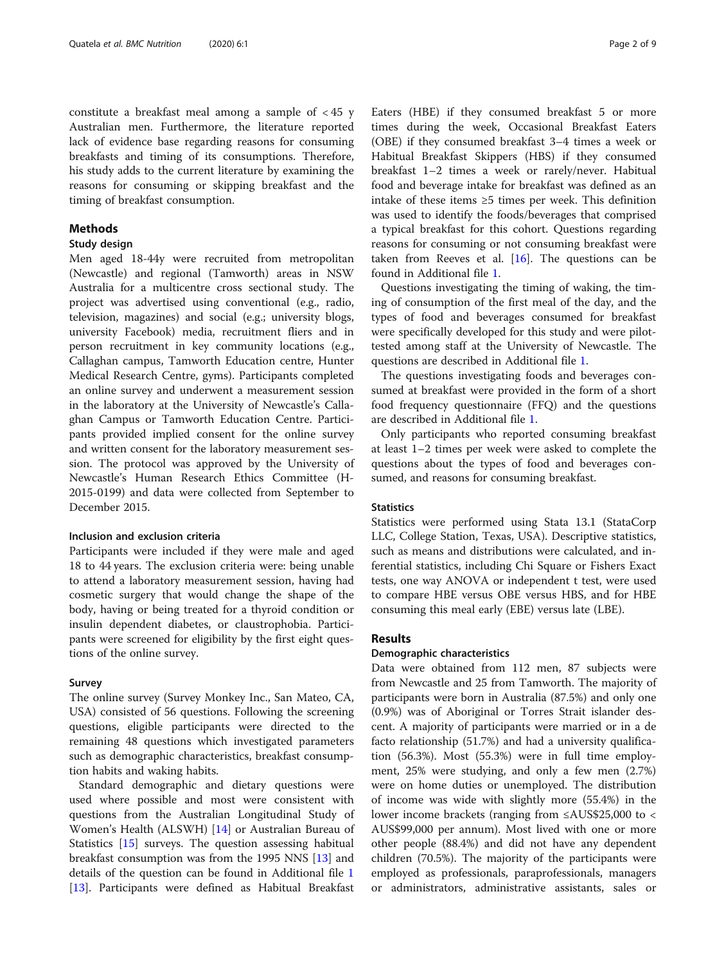constitute a breakfast meal among a sample of < 45 y Australian men. Furthermore, the literature reported lack of evidence base regarding reasons for consuming breakfasts and timing of its consumptions. Therefore, his study adds to the current literature by examining the reasons for consuming or skipping breakfast and the timing of breakfast consumption.

# **Methods**

# Study design

Men aged 18-44y were recruited from metropolitan (Newcastle) and regional (Tamworth) areas in NSW Australia for a multicentre cross sectional study. The project was advertised using conventional (e.g., radio, television, magazines) and social (e.g.; university blogs, university Facebook) media, recruitment fliers and in person recruitment in key community locations (e.g., Callaghan campus, Tamworth Education centre, Hunter Medical Research Centre, gyms). Participants completed an online survey and underwent a measurement session in the laboratory at the University of Newcastle's Callaghan Campus or Tamworth Education Centre. Participants provided implied consent for the online survey and written consent for the laboratory measurement session. The protocol was approved by the University of Newcastle's Human Research Ethics Committee (H-2015-0199) and data were collected from September to December 2015.

# Inclusion and exclusion criteria

Participants were included if they were male and aged 18 to 44 years. The exclusion criteria were: being unable to attend a laboratory measurement session, having had cosmetic surgery that would change the shape of the body, having or being treated for a thyroid condition or insulin dependent diabetes, or claustrophobia. Participants were screened for eligibility by the first eight questions of the online survey.

#### Survey

The online survey (Survey Monkey Inc., San Mateo, CA, USA) consisted of 56 questions. Following the screening questions, eligible participants were directed to the remaining 48 questions which investigated parameters such as demographic characteristics, breakfast consumption habits and waking habits.

Standard demographic and dietary questions were used where possible and most were consistent with questions from the Australian Longitudinal Study of Women's Health (ALSWH) [[14\]](#page-8-0) or Australian Bureau of Statistics [[15](#page-8-0)] surveys. The question assessing habitual breakfast consumption was from the 1995 NNS [\[13](#page-8-0)] and details of the question can be found in Additional file [1](#page-7-0) [[13\]](#page-8-0). Participants were defined as Habitual Breakfast

Eaters (HBE) if they consumed breakfast 5 or more times during the week, Occasional Breakfast Eaters (OBE) if they consumed breakfast 3–4 times a week or Habitual Breakfast Skippers (HBS) if they consumed breakfast 1–2 times a week or rarely/never. Habitual food and beverage intake for breakfast was defined as an intake of these items ≥5 times per week. This definition was used to identify the foods/beverages that comprised a typical breakfast for this cohort. Questions regarding reasons for consuming or not consuming breakfast were taken from Reeves et al.  $[16]$  $[16]$ . The questions can be found in Additional file [1.](#page-7-0)

Questions investigating the timing of waking, the timing of consumption of the first meal of the day, and the types of food and beverages consumed for breakfast were specifically developed for this study and were pilottested among staff at the University of Newcastle. The questions are described in Additional file [1.](#page-7-0)

The questions investigating foods and beverages consumed at breakfast were provided in the form of a short food frequency questionnaire (FFQ) and the questions are described in Additional file [1](#page-7-0).

Only participants who reported consuming breakfast at least 1–2 times per week were asked to complete the questions about the types of food and beverages consumed, and reasons for consuming breakfast.

# **Statistics**

Statistics were performed using Stata 13.1 (StataCorp LLC, College Station, Texas, USA). Descriptive statistics, such as means and distributions were calculated, and inferential statistics, including Chi Square or Fishers Exact tests, one way ANOVA or independent t test, were used to compare HBE versus OBE versus HBS, and for HBE consuming this meal early (EBE) versus late (LBE).

#### Results

### Demographic characteristics

Data were obtained from 112 men, 87 subjects were from Newcastle and 25 from Tamworth. The majority of participants were born in Australia (87.5%) and only one (0.9%) was of Aboriginal or Torres Strait islander descent. A majority of participants were married or in a de facto relationship (51.7%) and had a university qualification (56.3%). Most (55.3%) were in full time employment, 25% were studying, and only a few men (2.7%) were on home duties or unemployed. The distribution of income was wide with slightly more (55.4%) in the lower income brackets (ranging from ≤AUS\$25,000 to < AUS\$99,000 per annum). Most lived with one or more other people (88.4%) and did not have any dependent children (70.5%). The majority of the participants were employed as professionals, paraprofessionals, managers or administrators, administrative assistants, sales or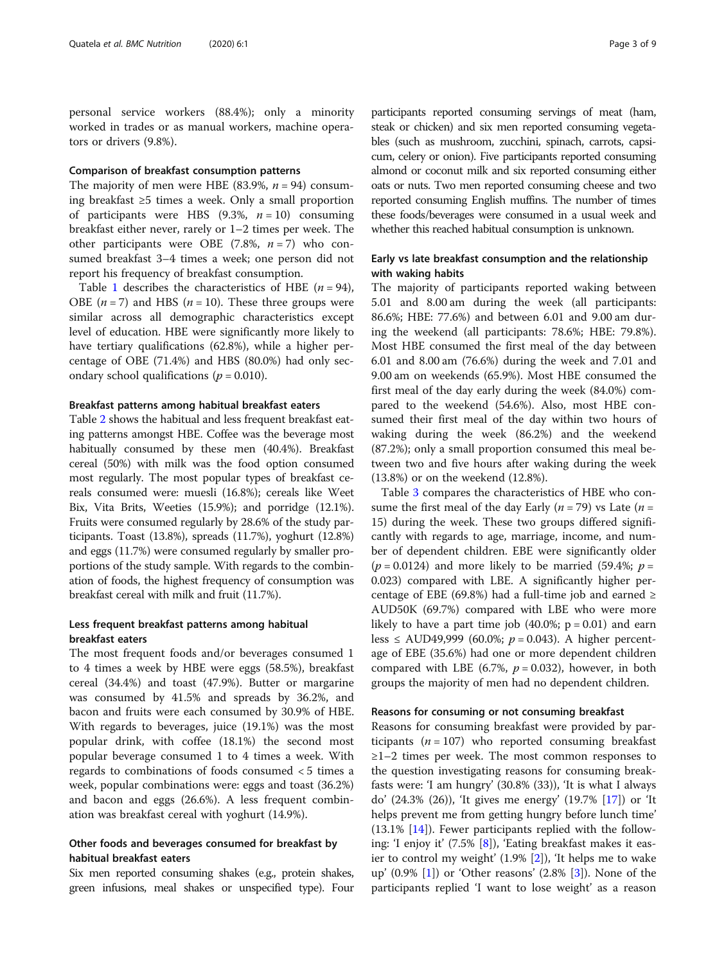personal service workers (88.4%); only a minority worked in trades or as manual workers, machine operators or drivers (9.8%).

# Comparison of breakfast consumption patterns

The majority of men were HBE (83.9%,  $n = 94$ ) consuming breakfast ≥5 times a week. Only a small proportion of participants were HBS  $(9.3\%, n = 10)$  consuming breakfast either never, rarely or 1–2 times per week. The other participants were OBE (7.8%,  $n = 7$ ) who consumed breakfast 3–4 times a week; one person did not report his frequency of breakfast consumption.

Table [1](#page-3-0) describes the characteristics of HBE  $(n = 94)$ , OBE  $(n = 7)$  and HBS  $(n = 10)$ . These three groups were similar across all demographic characteristics except level of education. HBE were significantly more likely to have tertiary qualifications (62.8%), while a higher percentage of OBE (71.4%) and HBS (80.0%) had only secondary school qualifications ( $p = 0.010$ ).

# Breakfast patterns among habitual breakfast eaters

Table [2](#page-4-0) shows the habitual and less frequent breakfast eating patterns amongst HBE. Coffee was the beverage most habitually consumed by these men (40.4%). Breakfast cereal (50%) with milk was the food option consumed most regularly. The most popular types of breakfast cereals consumed were: muesli (16.8%); cereals like Weet Bix, Vita Brits, Weeties (15.9%); and porridge (12.1%). Fruits were consumed regularly by 28.6% of the study participants. Toast (13.8%), spreads (11.7%), yoghurt (12.8%) and eggs (11.7%) were consumed regularly by smaller proportions of the study sample. With regards to the combination of foods, the highest frequency of consumption was breakfast cereal with milk and fruit (11.7%).

# Less frequent breakfast patterns among habitual breakfast eaters

The most frequent foods and/or beverages consumed 1 to 4 times a week by HBE were eggs (58.5%), breakfast cereal (34.4%) and toast (47.9%). Butter or margarine was consumed by 41.5% and spreads by 36.2%, and bacon and fruits were each consumed by 30.9% of HBE. With regards to beverages, juice (19.1%) was the most popular drink, with coffee (18.1%) the second most popular beverage consumed 1 to 4 times a week. With regards to combinations of foods consumed < 5 times a week, popular combinations were: eggs and toast (36.2%) and bacon and eggs (26.6%). A less frequent combination was breakfast cereal with yoghurt (14.9%).

# Other foods and beverages consumed for breakfast by habitual breakfast eaters

Six men reported consuming shakes (e.g., protein shakes, green infusions, meal shakes or unspecified type). Four participants reported consuming servings of meat (ham, steak or chicken) and six men reported consuming vegetables (such as mushroom, zucchini, spinach, carrots, capsicum, celery or onion). Five participants reported consuming almond or coconut milk and six reported consuming either oats or nuts. Two men reported consuming cheese and two reported consuming English muffins. The number of times these foods/beverages were consumed in a usual week and whether this reached habitual consumption is unknown.

# Early vs late breakfast consumption and the relationship with waking habits

The majority of participants reported waking between 5.01 and 8.00 am during the week (all participants: 86.6%; HBE: 77.6%) and between 6.01 and 9.00 am during the weekend (all participants: 78.6%; HBE: 79.8%). Most HBE consumed the first meal of the day between 6.01 and 8.00 am (76.6%) during the week and 7.01 and 9.00 am on weekends (65.9%). Most HBE consumed the first meal of the day early during the week (84.0%) compared to the weekend (54.6%). Also, most HBE consumed their first meal of the day within two hours of waking during the week (86.2%) and the weekend (87.2%); only a small proportion consumed this meal between two and five hours after waking during the week (13.8%) or on the weekend (12.8%).

Table [3](#page-5-0) compares the characteristics of HBE who consume the first meal of the day Early ( $n = 79$ ) vs Late ( $n =$ 15) during the week. These two groups differed significantly with regards to age, marriage, income, and number of dependent children. EBE were significantly older  $(p = 0.0124)$  and more likely to be married (59.4%;  $p =$ 0.023) compared with LBE. A significantly higher percentage of EBE (69.8%) had a full-time job and earned  $\geq$ AUD50K (69.7%) compared with LBE who were more likely to have a part time job  $(40.0\%; p = 0.01)$  and earn less ≤ AUD49,999 (60.0%;  $p = 0.043$ ). A higher percentage of EBE (35.6%) had one or more dependent children compared with LBE (6.7%,  $p = 0.032$ ), however, in both groups the majority of men had no dependent children.

#### Reasons for consuming or not consuming breakfast

Reasons for consuming breakfast were provided by participants ( $n = 107$ ) who reported consuming breakfast ≥1–2 times per week. The most common responses to the question investigating reasons for consuming breakfasts were: 'I am hungry' (30.8% (33)), 'It is what I always do' (24.3% (26)), 'It gives me energy' (19.7% [\[17](#page-8-0)]) or 'It helps prevent me from getting hungry before lunch time' (13.1% [\[14](#page-8-0)]). Fewer participants replied with the following: 'I enjoy it' (7.5% [\[8](#page-8-0)]), 'Eating breakfast makes it easier to control my weight' (1.9% [[2](#page-8-0)]), 'It helps me to wake up' (0.9% [[1](#page-8-0)]) or 'Other reasons' (2.8% [\[3](#page-8-0)]). None of the participants replied 'I want to lose weight' as a reason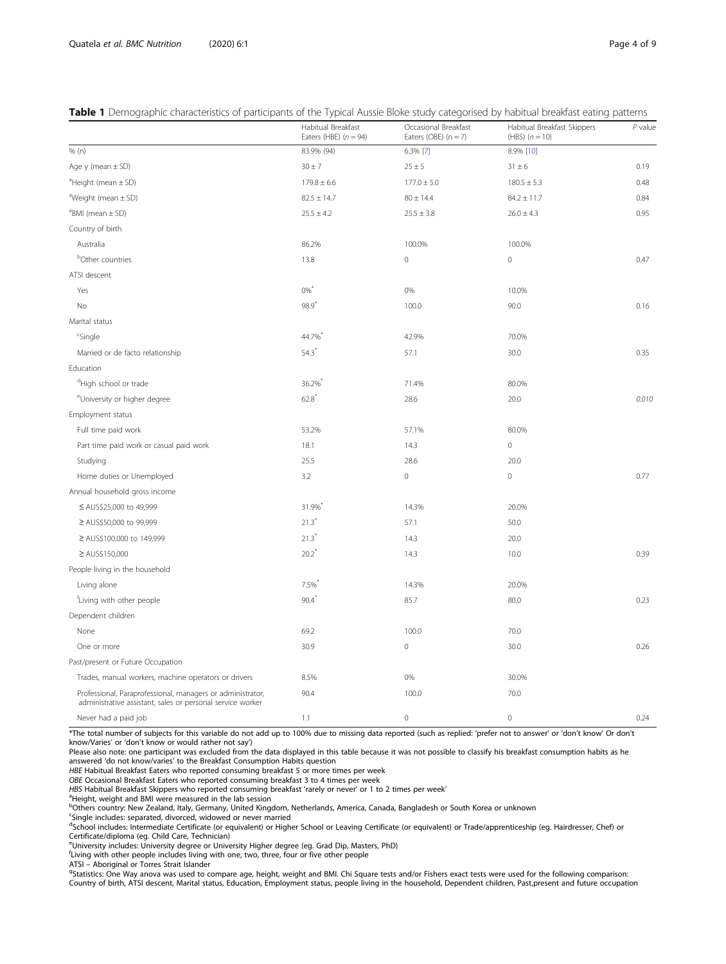# <span id="page-3-0"></span>Table 1 Demographic characteristics of participants of the Typical Aussie Bloke study categorised by habitual breakfast eating patterns

|                                                                                                                          | Habitual Breakfast<br>Eaters (HBE) $(n = 94)$ | Occasional Breakfast<br>Eaters (OBE) $(n = 7)$ | Habitual Breakfast Skippers<br>(HBS) $(n = 10)$ | $P$ value |
|--------------------------------------------------------------------------------------------------------------------------|-----------------------------------------------|------------------------------------------------|-------------------------------------------------|-----------|
| % (n)                                                                                                                    | 83.9% (94)                                    | 6.3% [7]                                       | 8.9% [10]                                       |           |
| Age $y$ (mean $\pm$ SD)                                                                                                  | $30 \pm 7$                                    | $25 \pm 5$                                     | $31 \pm 6$                                      | 0.19      |
| $^a$ Height (mean $\pm$ SD)                                                                                              | $179.8 \pm 6.6$                               | $177.0 \pm 5.0$                                | $180.5 \pm 5.3$                                 | 0.48      |
| <sup>a</sup> Weight (mean $\pm$ SD)                                                                                      | $82.5 \pm 14.7$                               | $80 \pm 14.4$                                  | $84.2 \pm 11.7$                                 | 0.84      |
| $BMI$ (mean $\pm$ SD)                                                                                                    | $25.5 \pm 4.2$                                | $25.5 \pm 3.8$                                 | $26.0 \pm 4.3$                                  | 0.95      |
| Country of birth                                                                                                         |                                               |                                                |                                                 |           |
| Australia                                                                                                                | 86.2%                                         | 100.0%                                         | 100.0%                                          |           |
| <sup>b</sup> Other countries                                                                                             | 13.8                                          | $\mathbf 0$                                    | $\mathbf 0$                                     | 0.47      |
| ATSI descent                                                                                                             |                                               |                                                |                                                 |           |
| Yes                                                                                                                      | $0\%$ <sup>*</sup>                            | 0%                                             | 10.0%                                           |           |
| No                                                                                                                       | 98.9                                          | 100.0                                          | 90.0                                            | 0.16      |
| Marital status                                                                                                           |                                               |                                                |                                                 |           |
| <sup>c</sup> Single                                                                                                      | 44.7%                                         | 42.9%                                          | 70.0%                                           |           |
| Married or de facto relationship                                                                                         | 54.3                                          | 57.1                                           | 30.0                                            | 0.35      |
| Education                                                                                                                |                                               |                                                |                                                 |           |
| <sup>d</sup> High school or trade                                                                                        | 36.2%                                         | 71.4%                                          | 80.0%                                           |           |
| <sup>e</sup> University or higher degree                                                                                 | 62.8                                          | 28.6                                           | 20.0                                            | 0.010     |
| Employment status                                                                                                        |                                               |                                                |                                                 |           |
| Full time paid work                                                                                                      | 53.2%                                         | 57.1%                                          | 80.0%                                           |           |
| Part time paid work or casual paid work                                                                                  | 18.1                                          | 14.3                                           | $\mathbf 0$                                     |           |
| Studying                                                                                                                 | 25.5                                          | 28.6                                           | 20.0                                            |           |
| Home duties or Unemployed                                                                                                | 3.2                                           | $\mathsf{O}\xspace$                            | $\mathbf 0$                                     | 0.77      |
| Annual household gross income                                                                                            |                                               |                                                |                                                 |           |
| ≤ AUS\$25,000 to 49,999                                                                                                  | 31.9%                                         | 14.3%                                          | 20.0%                                           |           |
| ≥ AUS\$50,000 to 99,999                                                                                                  | $21.3$ <sup>*</sup>                           | 57.1                                           | 50.0                                            |           |
| ≥ AUS\$100,000 to 149,999                                                                                                | $21.3$ <sup>*</sup>                           | 14.3                                           | 20.0                                            |           |
| ≥ AUS\$150,000                                                                                                           | $20.2^*$                                      | 14.3                                           | 10.0                                            | 0.39      |
| People living in the household                                                                                           |                                               |                                                |                                                 |           |
| Living alone                                                                                                             | 7.5%                                          | 14.3%                                          | 20.0%                                           |           |
| <sup>f</sup> Living with other people                                                                                    | $90.4$ <sup>*</sup>                           | 85.7                                           | 80.0                                            | 0.23      |
| Dependent children                                                                                                       |                                               |                                                |                                                 |           |
| None                                                                                                                     | 69.2                                          | 100.0                                          | 70.0                                            |           |
| One or more                                                                                                              | 30.9                                          | 0                                              | 30.0                                            | 0.26      |
| Past/present or Future Occupation                                                                                        |                                               |                                                |                                                 |           |
| Trades, manual workers, machine operators or drivers                                                                     | 8.5%                                          | 0%                                             | 30.0%                                           |           |
| Professional, Paraprofessional, managers or administrator,<br>administrative assistant, sales or personal service worker | 90.4                                          | 100.0                                          | 70.0                                            |           |
| Never had a paid job                                                                                                     | 1.1                                           | $\mathbf 0$                                    | $\mathbf 0$                                     | 0.24      |

\*The total number of subjects for this variable do not add up to 100% due to missing data reported (such as replied: 'prefer not to answer' or 'don't know' Or don't know/Varies' or 'don't know or would rather not say')

Please also note: one participant was excluded from the data displayed in this table because it was not possible to classify his breakfast consumption habits as he answered 'do not know/varies' to the Breakfast Consumption Habits question

HBE Habitual Breakfast Eaters who reported consuming breakfast 5 or more times per week OBE Occasional Breakfast Eaters who reported consuming breakfast 3 to 4 times per week

HBS Habitual Breakfast Skippers who reported consuming breakfast 'rarely or never' or 1 to 2 times per week'

<sup>a</sup>Height, weight and BMI were measured in the lab session

b<br><sup>b</sup>Others country: New Zealand, Italy, Germany, United Kingdom, Netherlands, America, Canada, Bangladesh or South Korea or unknown

<sup>c</sup>Single includes: separated, divorced, widowed or never married<br><sup>d</sup>School includes: Intermediate Certificate (or equivalent) or Higher School or Leaving Certificate (or equivalent) or Trade/apprenticeship (eg. Hairdresse Certificate/diploma (eg. Child Care, Technician)

e University includes: University degree or University Higher degree (eg. Grad Dip, Masters, PhD)

f Living with other people includes living with one, two, three, four or five other people

ATSI – Aboriginal or Torres Strait Islander

<sup>9</sup>Statistics: One Way anova was used to compare age, height, weight and BMI. Chi Square tests and/or Fishers exact tests were used for the following comparison: Country of birth, ATSI descent, Marital status, Education, Employment status, people living in the household, Dependent children, Past,present and future occupation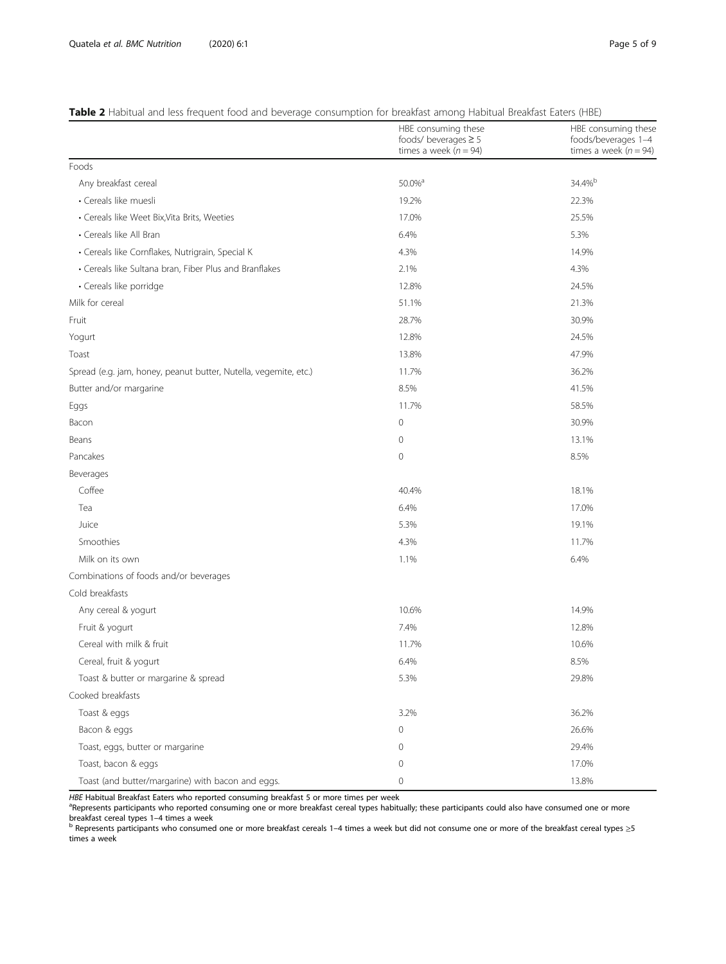# <span id="page-4-0"></span>Table 2 Habitual and less frequent food and beverage consumption for breakfast among Habitual Breakfast Eaters (HBE)

|                                                                  | HBE consuming these<br>foods/ beverages $\geq 5$<br>times a week ( $n = 94$ ) | HBE consuming these<br>foods/beverages 1-4<br>times a week ( $n = 94$ ) |
|------------------------------------------------------------------|-------------------------------------------------------------------------------|-------------------------------------------------------------------------|
| Foods                                                            |                                                                               |                                                                         |
| Any breakfast cereal                                             | 50.0% <sup>a</sup>                                                            | 34.4%b                                                                  |
| · Cereals like muesli                                            | 19.2%                                                                         | 22.3%                                                                   |
| • Cereals like Weet Bix, Vita Brits, Weeties                     | 17.0%                                                                         | 25.5%                                                                   |
| • Cereals like All Bran                                          | 6.4%                                                                          | 5.3%                                                                    |
| · Cereals like Cornflakes, Nutrigrain, Special K                 | 4.3%                                                                          | 14.9%                                                                   |
| • Cereals like Sultana bran, Fiber Plus and Branflakes           | 2.1%                                                                          | 4.3%                                                                    |
| · Cereals like porridge                                          | 12.8%                                                                         | 24.5%                                                                   |
| Milk for cereal                                                  | 51.1%                                                                         | 21.3%                                                                   |
| Fruit                                                            | 28.7%                                                                         | 30.9%                                                                   |
| Yogurt                                                           | 12.8%                                                                         | 24.5%                                                                   |
| Toast                                                            | 13.8%                                                                         | 47.9%                                                                   |
| Spread (e.g. jam, honey, peanut butter, Nutella, vegemite, etc.) | 11.7%                                                                         | 36.2%                                                                   |
| Butter and/or margarine                                          | 8.5%                                                                          | 41.5%                                                                   |
| Eggs                                                             | 11.7%                                                                         | 58.5%                                                                   |
| Bacon                                                            | 0                                                                             | 30.9%                                                                   |
| Beans                                                            | 0                                                                             | 13.1%                                                                   |
| Pancakes                                                         | 0                                                                             | 8.5%                                                                    |
| Beverages                                                        |                                                                               |                                                                         |
| Coffee                                                           | 40.4%                                                                         | 18.1%                                                                   |
| Tea                                                              | 6.4%                                                                          | 17.0%                                                                   |
| Juice                                                            | 5.3%                                                                          | 19.1%                                                                   |
| Smoothies                                                        | 4.3%                                                                          | 11.7%                                                                   |
| Milk on its own                                                  | 1.1%                                                                          | 6.4%                                                                    |
| Combinations of foods and/or beverages                           |                                                                               |                                                                         |
| Cold breakfasts                                                  |                                                                               |                                                                         |
| Any cereal & yogurt                                              | 10.6%                                                                         | 14.9%                                                                   |
| Fruit & yogurt                                                   | 7.4%                                                                          | 12.8%                                                                   |
| Cereal with milk & fruit                                         | 11.7%                                                                         | 10.6%                                                                   |
| Cereal, fruit & yogurt                                           | 6.4%                                                                          | 8.5%                                                                    |
| Toast & butter or margarine & spread                             | 5.3%                                                                          | 29.8%                                                                   |
| Cooked breakfasts                                                |                                                                               |                                                                         |
| Toast & eggs                                                     | 3.2%                                                                          | 36.2%                                                                   |
| Bacon & eggs                                                     | 0                                                                             | 26.6%                                                                   |
| Toast, eggs, butter or margarine                                 | 0                                                                             | 29.4%                                                                   |
| Toast, bacon & eggs                                              | 0                                                                             | 17.0%                                                                   |
| Toast (and butter/margarine) with bacon and eggs.                | 0                                                                             | 13.8%                                                                   |

*HBE* Habitual Breakfast Eaters who reported consuming breakfast 5 or more times per week<br><sup>a</sup>Represents participants who reported consuming one or more breakfast cereal types habitually; these participants could also have breakfast cereal types 1–4 times a week<br>
b Represents participants who consumed one or more breakfast cereals 1–4 times a week but did not consume one or more of the breakfast cereal types ≥5

times a week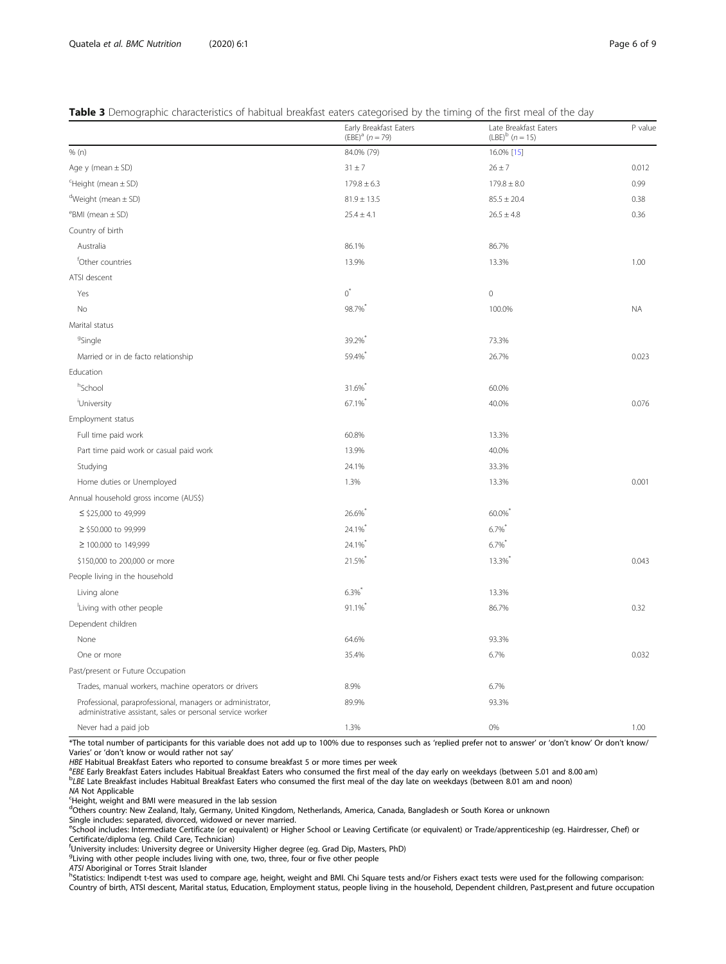# <span id="page-5-0"></span>Table 3 Demographic characteristics of habitual breakfast eaters categorised by the timing of the first meal of the day

|                                                                                                                          | Early Breakfast Eaters<br>$(EBE)^{a}$ (n = 79) | Late Breakfast Eaters<br>$(LBE)^{b}$ (n = 15) | P value   |
|--------------------------------------------------------------------------------------------------------------------------|------------------------------------------------|-----------------------------------------------|-----------|
| % (n)                                                                                                                    | 84.0% (79)                                     | 16.0% [15]                                    |           |
| Age $y$ (mean $\pm$ SD)                                                                                                  | $31 \pm 7$                                     | $26 \pm 7$                                    | 0.012     |
| <sup>C</sup> Height (mean ± SD)                                                                                          | $179.8 \pm 6.3$                                | $179.8 \pm 8.0$                               | 0.99      |
| $d$ Weight (mean $\pm$ SD)                                                                                               | $81.9 \pm 13.5$                                | $85.5 \pm 20.4$                               | 0.38      |
| $e$ BMI (mean $\pm$ SD)                                                                                                  | $25.4 \pm 4.1$                                 | $26.5 \pm 4.8$                                | 0.36      |
| Country of birth                                                                                                         |                                                |                                               |           |
| Australia                                                                                                                | 86.1%                                          | 86.7%                                         |           |
| <sup>f</sup> Other countries                                                                                             | 13.9%                                          | 13.3%                                         | 1.00      |
| ATSI descent                                                                                                             |                                                |                                               |           |
| Yes                                                                                                                      | $0^*$                                          | $\mathbf 0$                                   |           |
| No                                                                                                                       | 98.7%                                          | 100.0%                                        | <b>NA</b> |
| Marital status                                                                                                           |                                                |                                               |           |
| <sup>9</sup> Single                                                                                                      | 39.2%                                          | 73.3%                                         |           |
| Married or in de facto relationship                                                                                      | 59.4%                                          | 26.7%                                         | 0.023     |
| Education                                                                                                                |                                                |                                               |           |
| hSchool                                                                                                                  | 31.6%*                                         | 60.0%                                         |           |
| 'University                                                                                                              | 67.1%                                          | 40.0%                                         | 0.076     |
| Employment status                                                                                                        |                                                |                                               |           |
| Full time paid work                                                                                                      | 60.8%                                          | 13.3%                                         |           |
| Part time paid work or casual paid work                                                                                  | 13.9%                                          | 40.0%                                         |           |
| Studying                                                                                                                 | 24.1%                                          | 33.3%                                         |           |
| Home duties or Unemployed                                                                                                | 1.3%                                           | 13.3%                                         | 0.001     |
| Annual household gross income (AUS\$)                                                                                    |                                                |                                               |           |
| ≤ \$25,000 to 49,999                                                                                                     | 26.6%                                          | 60.0%                                         |           |
| ≥ \$50.000 to 99,999                                                                                                     | 24.1%                                          | 6.7%                                          |           |
| ≥ 100.000 to 149,999                                                                                                     | 24.1%                                          | $6.7\%$                                       |           |
| \$150,000 to 200,000 or more                                                                                             | 21.5%*                                         | 13.3%                                         | 0.043     |
| People living in the household                                                                                           |                                                |                                               |           |
| Living alone                                                                                                             | $6.3\%$                                        | 13.3%                                         |           |
| 'Living with other people                                                                                                | 91.1%                                          | 86.7%                                         | 0.32      |
| Dependent children                                                                                                       |                                                |                                               |           |
| None                                                                                                                     | 64.6%                                          | 93.3%                                         |           |
| One or more                                                                                                              | 35.4%                                          | 6.7%                                          | 0.032     |
| Past/present or Future Occupation                                                                                        |                                                |                                               |           |
| Trades, manual workers, machine operators or drivers                                                                     | 8.9%                                           | 6.7%                                          |           |
| Professional, paraprofessional, managers or administrator,<br>administrative assistant, sales or personal service worker | 89.9%                                          | 93.3%                                         |           |
| Never had a paid job                                                                                                     | 1.3%                                           | 0%                                            | 1.00      |

\*The total number of participants for this variable does not add up to 100% due to responses such as 'replied prefer not to answer' or 'don't know' Or don't know/ Varies' or 'don't know or would rather not say'<br>HBE Habitual Breakfast Eaters who reported to consume breakfast 5 or more times per week

HBE Habitual Breakfast Eaters who reported to consume breakfast 5 or more times per week<br><sup>9</sup>EBE Early Breakfast Eaters includes Habitual Breakfast Eaters who consumed the first meal of the day early on weekdays (between 5.

<sup>b</sup>LBE Late Breakfast includes Habitual Breakfast Eaters who consumed the first meal of the day late on weekdays (between 8.01 am and noon)

NA Not Applicable

Height, weight and BMI were measured in the lab session

d<br>Others country: New Zealand, Italy, Germany, United Kingdom, Netherlands, America, Canada, Bangladesh or South Korea or unknown

Single includes: separated, divorced, widowed or never married.

e<br>School includes: Intermediate Certificate (or equivalent) or Higher School or Leaving Certificate (or equivalent) or Trade/apprenticeship (eg. Hairdresser, Chef) or Certificate/diploma (eg. Child Care, Technician) f University includes: University degree or University Higher degree (eg. Grad Dip, Masters, PhD)

<sup>g</sup>Living with other people includes living with one, two, three, four or five other people

ATSI Aboriginal or Torres Strait Islander<br><sup>h</sup>Statistics: Indipendt t-test was used to compare age, height, weight and BMI. Chi Square tests and/or Fishers exact tests were used for the following comparison: Country of birth, ATSI descent, Marital status, Education, Employment status, people living in the household, Dependent children, Past,present and future occupation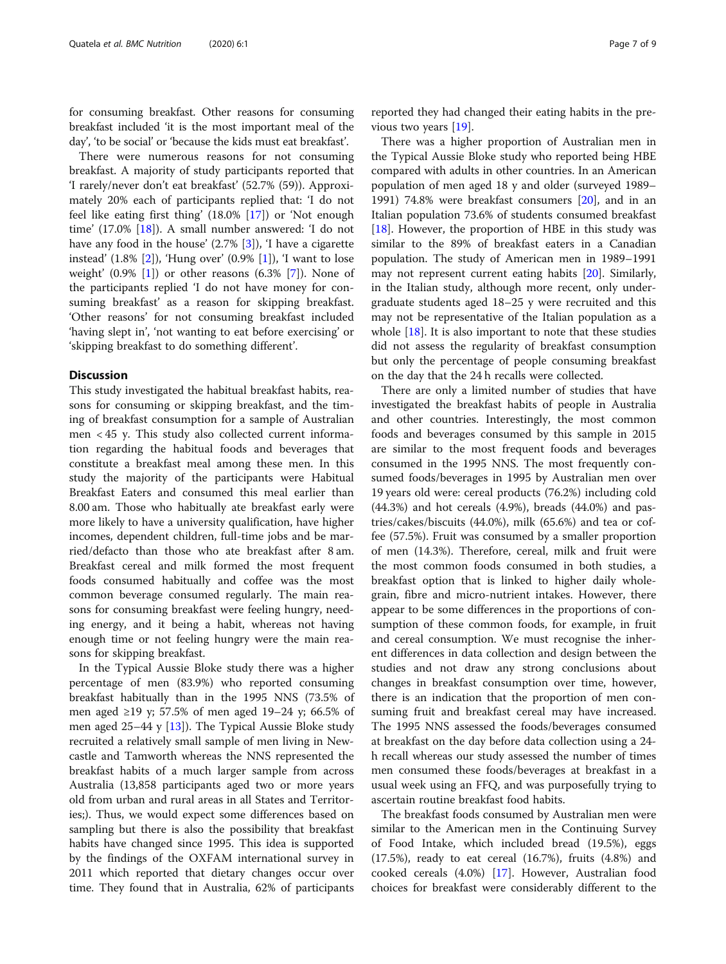for consuming breakfast. Other reasons for consuming breakfast included 'it is the most important meal of the day', 'to be social' or 'because the kids must eat breakfast'.

There were numerous reasons for not consuming breakfast. A majority of study participants reported that 'I rarely/never don't eat breakfast' (52.7% (59)). Approximately 20% each of participants replied that: 'I do not feel like eating first thing' (18.0% [[17\]](#page-8-0)) or 'Not enough time' (17.0% [[18\]](#page-8-0)). A small number answered: 'I do not have any food in the house' (2.7% [[3](#page-8-0)]), 'I have a cigarette instead'  $(1.8\% \, [2])$  $(1.8\% \, [2])$  $(1.8\% \, [2])$ , 'Hung over'  $(0.9\% \, [1])$  $(0.9\% \, [1])$  $(0.9\% \, [1])$ , 'I want to lose weight'  $(0.9\% \; 1]$  or other reasons  $(6.3\% \; 7]$ ). None of the participants replied 'I do not have money for consuming breakfast' as a reason for skipping breakfast. 'Other reasons' for not consuming breakfast included 'having slept in', 'not wanting to eat before exercising' or 'skipping breakfast to do something different'.

#### **Discussion**

This study investigated the habitual breakfast habits, reasons for consuming or skipping breakfast, and the timing of breakfast consumption for a sample of Australian men < 45 y. This study also collected current information regarding the habitual foods and beverages that constitute a breakfast meal among these men. In this study the majority of the participants were Habitual Breakfast Eaters and consumed this meal earlier than 8.00 am. Those who habitually ate breakfast early were more likely to have a university qualification, have higher incomes, dependent children, full-time jobs and be married/defacto than those who ate breakfast after 8 am. Breakfast cereal and milk formed the most frequent foods consumed habitually and coffee was the most common beverage consumed regularly. The main reasons for consuming breakfast were feeling hungry, needing energy, and it being a habit, whereas not having enough time or not feeling hungry were the main reasons for skipping breakfast.

In the Typical Aussie Bloke study there was a higher percentage of men (83.9%) who reported consuming breakfast habitually than in the 1995 NNS (73.5% of men aged ≥19 y; 57.5% of men aged 19–24 y; 66.5% of men aged 25–44 y [[13\]](#page-8-0)). The Typical Aussie Bloke study recruited a relatively small sample of men living in Newcastle and Tamworth whereas the NNS represented the breakfast habits of a much larger sample from across Australia (13,858 participants aged two or more years old from urban and rural areas in all States and Territories;). Thus, we would expect some differences based on sampling but there is also the possibility that breakfast habits have changed since 1995. This idea is supported by the findings of the OXFAM international survey in 2011 which reported that dietary changes occur over time. They found that in Australia, 62% of participants

reported they had changed their eating habits in the previous two years [[19\]](#page-8-0).

There was a higher proportion of Australian men in the Typical Aussie Bloke study who reported being HBE compared with adults in other countries. In an American population of men aged 18 y and older (surveyed 1989– 1991) 74.8% were breakfast consumers [\[20\]](#page-8-0), and in an Italian population 73.6% of students consumed breakfast [[18\]](#page-8-0). However, the proportion of HBE in this study was similar to the 89% of breakfast eaters in a Canadian population. The study of American men in 1989–1991 may not represent current eating habits [\[20\]](#page-8-0). Similarly, in the Italian study, although more recent, only undergraduate students aged 18–25 y were recruited and this may not be representative of the Italian population as a whole [\[18\]](#page-8-0). It is also important to note that these studies did not assess the regularity of breakfast consumption but only the percentage of people consuming breakfast on the day that the 24 h recalls were collected.

There are only a limited number of studies that have investigated the breakfast habits of people in Australia and other countries. Interestingly, the most common foods and beverages consumed by this sample in 2015 are similar to the most frequent foods and beverages consumed in the 1995 NNS. The most frequently consumed foods/beverages in 1995 by Australian men over 19 years old were: cereal products (76.2%) including cold (44.3%) and hot cereals (4.9%), breads (44.0%) and pastries/cakes/biscuits (44.0%), milk (65.6%) and tea or coffee (57.5%). Fruit was consumed by a smaller proportion of men (14.3%). Therefore, cereal, milk and fruit were the most common foods consumed in both studies, a breakfast option that is linked to higher daily wholegrain, fibre and micro-nutrient intakes. However, there appear to be some differences in the proportions of consumption of these common foods, for example, in fruit and cereal consumption. We must recognise the inherent differences in data collection and design between the studies and not draw any strong conclusions about changes in breakfast consumption over time, however, there is an indication that the proportion of men consuming fruit and breakfast cereal may have increased. The 1995 NNS assessed the foods/beverages consumed at breakfast on the day before data collection using a 24 h recall whereas our study assessed the number of times men consumed these foods/beverages at breakfast in a usual week using an FFQ, and was purposefully trying to ascertain routine breakfast food habits.

The breakfast foods consumed by Australian men were similar to the American men in the Continuing Survey of Food Intake, which included bread (19.5%), eggs (17.5%), ready to eat cereal (16.7%), fruits (4.8%) and cooked cereals (4.0%) [\[17\]](#page-8-0). However, Australian food choices for breakfast were considerably different to the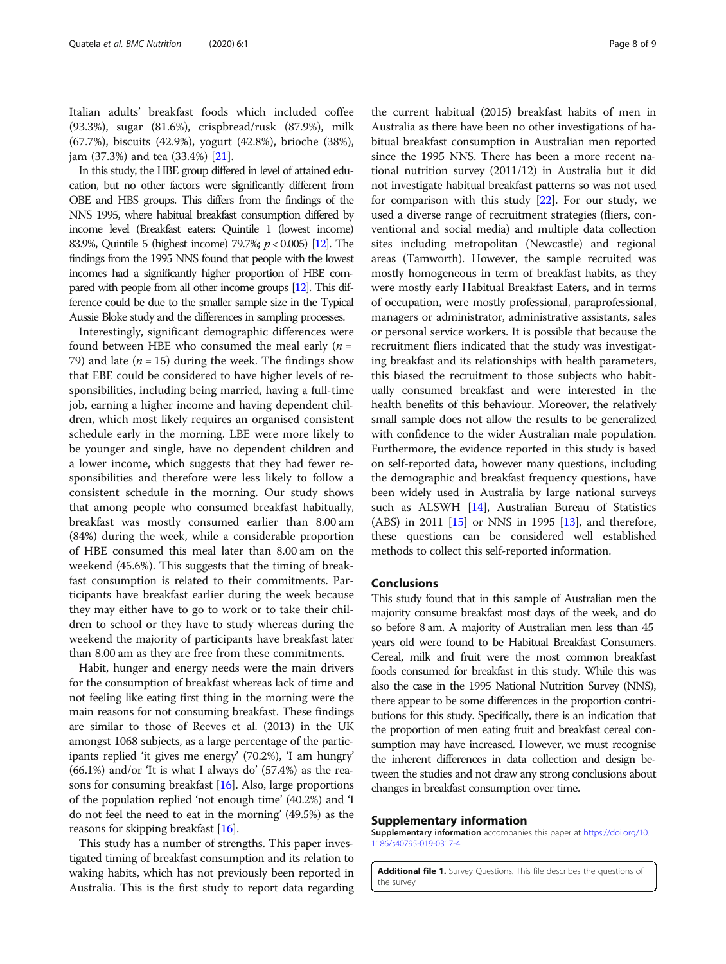<span id="page-7-0"></span>Italian adults' breakfast foods which included coffee (93.3%), sugar (81.6%), crispbread/rusk (87.9%), milk (67.7%), biscuits (42.9%), yogurt (42.8%), brioche (38%), jam (37.3%) and tea (33.4%) [[21\]](#page-8-0).

In this study, the HBE group differed in level of attained education, but no other factors were significantly different from OBE and HBS groups. This differs from the findings of the NNS 1995, where habitual breakfast consumption differed by income level (Breakfast eaters: Quintile 1 (lowest income) 83.9%, Quintile 5 (highest income) 79.7%; p < 0.005) [\[12](#page-8-0)]. The findings from the 1995 NNS found that people with the lowest incomes had a significantly higher proportion of HBE compared with people from all other income groups [\[12\]](#page-8-0). This difference could be due to the smaller sample size in the Typical Aussie Bloke study and the differences in sampling processes.

Interestingly, significant demographic differences were found between HBE who consumed the meal early  $(n =$ 79) and late ( $n = 15$ ) during the week. The findings show that EBE could be considered to have higher levels of responsibilities, including being married, having a full-time job, earning a higher income and having dependent children, which most likely requires an organised consistent schedule early in the morning. LBE were more likely to be younger and single, have no dependent children and a lower income, which suggests that they had fewer responsibilities and therefore were less likely to follow a consistent schedule in the morning. Our study shows that among people who consumed breakfast habitually, breakfast was mostly consumed earlier than 8.00 am (84%) during the week, while a considerable proportion of HBE consumed this meal later than 8.00 am on the weekend (45.6%). This suggests that the timing of breakfast consumption is related to their commitments. Participants have breakfast earlier during the week because they may either have to go to work or to take their children to school or they have to study whereas during the weekend the majority of participants have breakfast later than 8.00 am as they are free from these commitments.

Habit, hunger and energy needs were the main drivers for the consumption of breakfast whereas lack of time and not feeling like eating first thing in the morning were the main reasons for not consuming breakfast. These findings are similar to those of Reeves et al. (2013) in the UK amongst 1068 subjects, as a large percentage of the participants replied 'it gives me energy' (70.2%), 'I am hungry' (66.1%) and/or 'It is what I always do' (57.4%) as the reasons for consuming breakfast  $[16]$  $[16]$  $[16]$ . Also, large proportions of the population replied 'not enough time' (40.2%) and 'I do not feel the need to eat in the morning' (49.5%) as the reasons for skipping breakfast [\[16\]](#page-8-0).

This study has a number of strengths. This paper investigated timing of breakfast consumption and its relation to waking habits, which has not previously been reported in Australia. This is the first study to report data regarding

the current habitual (2015) breakfast habits of men in Australia as there have been no other investigations of habitual breakfast consumption in Australian men reported since the 1995 NNS. There has been a more recent national nutrition survey (2011/12) in Australia but it did not investigate habitual breakfast patterns so was not used for comparison with this study  $[22]$ . For our study, we used a diverse range of recruitment strategies (fliers, conventional and social media) and multiple data collection sites including metropolitan (Newcastle) and regional areas (Tamworth). However, the sample recruited was mostly homogeneous in term of breakfast habits, as they were mostly early Habitual Breakfast Eaters, and in terms of occupation, were mostly professional, paraprofessional, managers or administrator, administrative assistants, sales or personal service workers. It is possible that because the recruitment fliers indicated that the study was investigating breakfast and its relationships with health parameters, this biased the recruitment to those subjects who habitually consumed breakfast and were interested in the health benefits of this behaviour. Moreover, the relatively small sample does not allow the results to be generalized with confidence to the wider Australian male population. Furthermore, the evidence reported in this study is based on self-reported data, however many questions, including the demographic and breakfast frequency questions, have been widely used in Australia by large national surveys such as ALSWH [[14\]](#page-8-0), Australian Bureau of Statistics (ABS) in 2011 [[15](#page-8-0)] or NNS in 1995 [[13](#page-8-0)], and therefore, these questions can be considered well established methods to collect this self-reported information.

# Conclusions

This study found that in this sample of Australian men the majority consume breakfast most days of the week, and do so before 8 am. A majority of Australian men less than 45 years old were found to be Habitual Breakfast Consumers. Cereal, milk and fruit were the most common breakfast foods consumed for breakfast in this study. While this was also the case in the 1995 National Nutrition Survey (NNS), there appear to be some differences in the proportion contributions for this study. Specifically, there is an indication that the proportion of men eating fruit and breakfast cereal consumption may have increased. However, we must recognise the inherent differences in data collection and design between the studies and not draw any strong conclusions about changes in breakfast consumption over time.

# Supplementary information

Supplementary information accompanies this paper at [https://doi.org/10.](https://doi.org/10.1186/s40795-019-0317-4) [1186/s40795-019-0317-4.](https://doi.org/10.1186/s40795-019-0317-4)

Additional file 1. Survey Questions. This file describes the questions of the survey